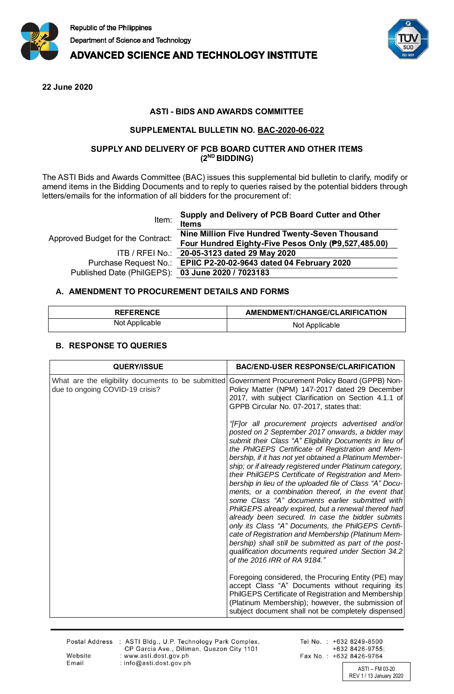

**ADVANCED SCIENCE AND TECHNOLOGY INSTITUTE** 



**22 June 2020**

# **ASTI - BIDS AND AWARDS COMMITTEE**

#### **SUPPLEMENTAL BULLETIN NO. BAC-2020-06-022**

### **SUPPLY AND DELIVERY OF PCB BOARD CUTTER AND OTHER ITEMS (2ND BIDDING)**

The ASTI Bids and Awards Committee (BAC) issues this supplemental bid bulletin to clarify, modify or amend items in the Bidding Documents and to reply to queries raised by the potential bidders through letters/emails for the information of all bidders for the procurement of:

| Item:                                             | Supply and Delivery of PCB Board Cutter and Other<br><b>Items</b> |
|---------------------------------------------------|-------------------------------------------------------------------|
| Approved Budget for the Contract:                 | Nine Million Five Hundred Twenty-Seven Thousand                   |
|                                                   | Four Hundred Eighty-Five Pesos Only (P9,527,485.00)               |
|                                                   | ITB / RFEI No.: 20-05-3123 dated 29 May 2020                      |
|                                                   | Purchase Request No.: EPIIC P2-20-02-9643 dated 04 February 2020  |
| Published Date (PhilGEPS): 03 June 2020 / 7023183 |                                                                   |

### **A. AMENDMENT TO PROCUREMENT DETAILS AND FORMS**

| <b>REFERENCE</b> | AMENDMENT/CHANGE/CLARIFICATION |
|------------------|--------------------------------|
| Not Applicable   | Not Applicable                 |

## **B. RESPONSE TO QUERIES**

Email

| <b>QUERY/ISSUE</b>                                                                    | <b>BAC/END-USER RESPONSE/CLARIFICATION</b>                                                                                                                                                                                                                                                                                                                                                                                                                                                                                                                                                                                                                                                                                                                                                                                                                                                                                                     |
|---------------------------------------------------------------------------------------|------------------------------------------------------------------------------------------------------------------------------------------------------------------------------------------------------------------------------------------------------------------------------------------------------------------------------------------------------------------------------------------------------------------------------------------------------------------------------------------------------------------------------------------------------------------------------------------------------------------------------------------------------------------------------------------------------------------------------------------------------------------------------------------------------------------------------------------------------------------------------------------------------------------------------------------------|
| What are the eligibility documents to be submitted<br>due to ongoing COVID-19 crisis? | Government Procurement Policy Board (GPPB) Non-<br>Policy Matter (NPM) 147-2017 dated 29 December<br>2017, with subject Clarification on Section 4.1.1 of<br>GPPB Circular No. 07-2017, states that:                                                                                                                                                                                                                                                                                                                                                                                                                                                                                                                                                                                                                                                                                                                                           |
|                                                                                       | "[F]or all procurement projects advertised and/or<br>posted on 2 September 2017 onwards, a bidder may<br>submit their Class "A" Eligibility Documents in lieu of<br>the PhilGEPS Certificate of Registration and Mem-<br>bership, if it has not yet obtained a Platinum Member-<br>ship; or if already registered under Platinum category,<br>their PhilGEPS Certificate of Registration and Mem-<br>bership in lieu of the uploaded file of Class "A" Docu-<br>ments, or a combination thereof, in the event that<br>some Class "A" documents earlier submitted with<br>PhilGEPS already expired, but a renewal thereof had<br>already been secured. In case the bidder submits<br>only its Class "A" Documents, the PhilGEPS Certifi-<br>cate of Registration and Membership (Platinum Mem-<br>bership) shall still be submitted as part of the post-<br>qualification documents required under Section 34.2<br>of the 2016 IRR of RA 9184." |
|                                                                                       | Foregoing considered, the Procuring Entity (PE) may<br>accept Class "A" Documents without requiring its<br>PhilGEPS Certificate of Registration and Membership<br>(Platinum Membership); however, the submission of<br>subject document shall not be completely dispensed                                                                                                                                                                                                                                                                                                                                                                                                                                                                                                                                                                                                                                                                      |